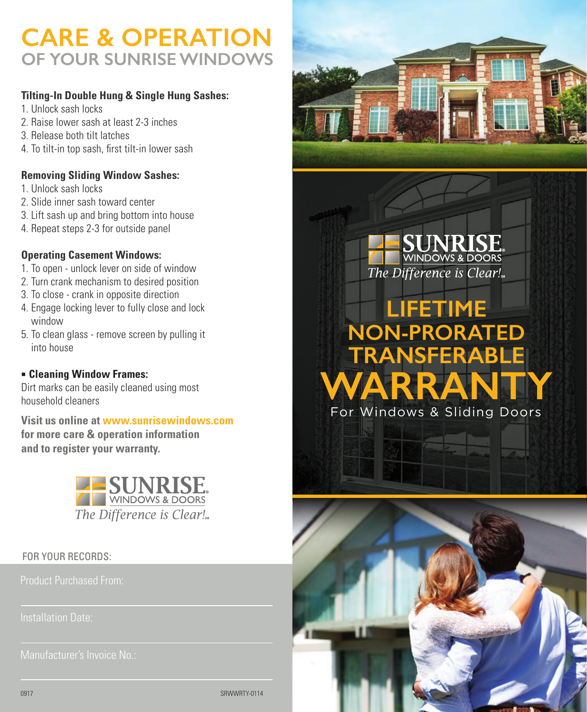## **CARE & OPERATION OF YOUR SUNRISE WINDOWS**

## **Tilting-In Double Hung & Single Hung Sashes:**

- 1. Unlock sash locks
- 2. Raise lower sash at least 2-3 inches
- 3. Release both tilt latches
- 4. To tilt-in top sash, first tilt-in lower sash

## **Removing Sliding Window Sashes:**

- 1. Unlock sash locks
- 2. Slide inner sash toward center
- 3. Lift sash up and bring bottom into house
- 4. Repeat steps 2-3 for outside panel

## **Operating Casement Windows:**

- 1. To open unlock lever on side of window
- 2. Turn crank mechanism to desired position
- 3. To close crank in opposite direction
- 4. Engage locking lever to fully close and lock window
- 5. To clean glass remove screen by pulling it into house

## ■ **Cleaning Window Frames:**

Dirt marks can be easily cleaned using most household cleaners

**Visit us online at www.sunrisewindows.com for more care & operation information and to register your warranty.**



## FOR YOUR RECORDS:

Manufacturer's Invoice No.:



INRISE WINDOWS & DOORS The Difference is Clear!

# For Windows & Sliding Doors **LIFETIME NON-PRORATED TRANSFERABLE WARRANTY**



SRWWRTY-0114